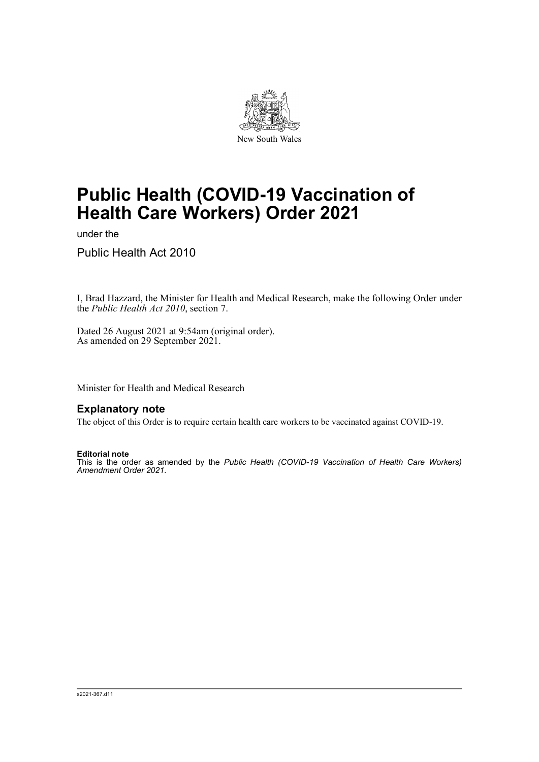

# **Public Health (COVID-19 Vaccination of Health Care Workers) Order 2021**

under the

Public Health Act 2010

I, Brad Hazzard, the Minister for Health and Medical Research, make the following Order under the *Public Health Act 2010*, section 7.

Dated 26 August 2021 at 9:54am (original order). As amended on 29 September 2021.

Minister for Health and Medical Research

### **Explanatory note**

The object of this Order is to require certain health care workers to be vaccinated against COVID-19.

#### **Editorial note**

This is the order as amended by the *Public Health (COVID-19 Vaccination of Health Care Workers) Amendment Order 2021*.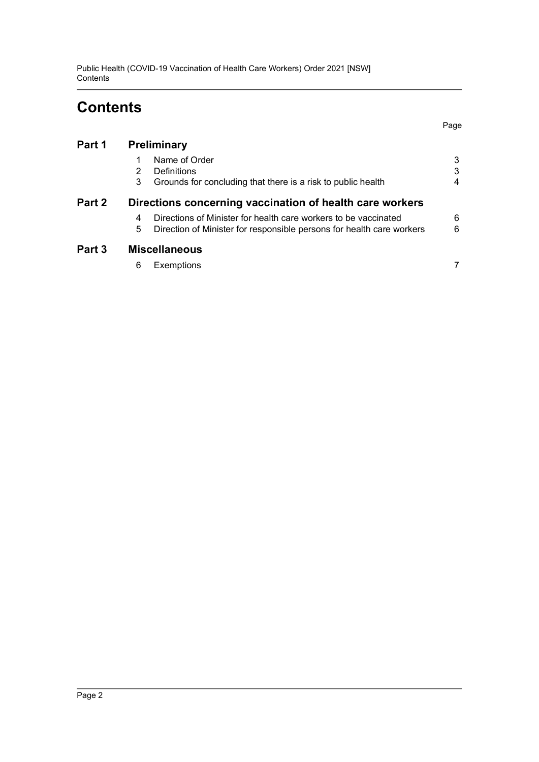Public Health (COVID-19 Vaccination of Health Care Workers) Order 2021 [NSW] **Contents** 

# **Contents**

| Part 1 | <b>Preliminary</b>                                                                                                                                 |                        |
|--------|----------------------------------------------------------------------------------------------------------------------------------------------------|------------------------|
|        | Name of Order<br>Definitions<br>2<br>3<br>Grounds for concluding that there is a risk to public health                                             | $\mathbf{3}$<br>3<br>4 |
| Part 2 | Directions concerning vaccination of health care workers                                                                                           |                        |
|        | Directions of Minister for health care workers to be vaccinated<br>4<br>5<br>Direction of Minister for responsible persons for health care workers | 6<br>6                 |
| Part 3 | <b>Miscellaneous</b>                                                                                                                               |                        |
|        | 6<br><b>Exemptions</b>                                                                                                                             | 7                      |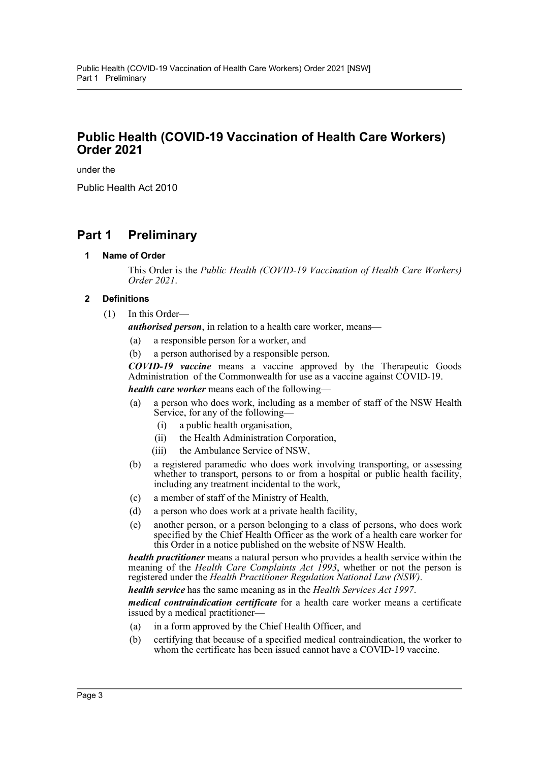# **Public Health (COVID-19 Vaccination of Health Care Workers) Order 2021**

under the

Public Health Act 2010

# <span id="page-2-1"></span><span id="page-2-0"></span>**Part 1 Preliminary**

**1 Name of Order**

This Order is the *Public Health (COVID-19 Vaccination of Health Care Workers) Order 2021*.

### <span id="page-2-2"></span>**2 Definitions**

(1) In this Order—

*authorised person*, in relation to a health care worker, means—

- (a) a responsible person for a worker, and
- (b) a person authorised by a responsible person.

*COVID-19 vaccine* means a vaccine approved by the Therapeutic Goods Administration of the Commonwealth for use as a vaccine against COVID-19. *health care worker* means each of the following—

- (a) a person who does work, including as a member of staff of the NSW Health Service, for any of the following—
	- (i) a public health organisation,
	- (ii) the Health Administration Corporation,
	- (iii) the Ambulance Service of NSW,
- (b) a registered paramedic who does work involving transporting, or assessing whether to transport, persons to or from a hospital or public health facility, including any treatment incidental to the work,
- (c) a member of staff of the Ministry of Health,
- (d) a person who does work at a private health facility,
- (e) another person, or a person belonging to a class of persons, who does work specified by the Chief Health Officer as the work of a health care worker for this Order in a notice published on the website of NSW Health.

*health practitioner* means a natural person who provides a health service within the meaning of the *Health Care Complaints Act 1993*, whether or not the person is registered under the *Health Practitioner Regulation National Law (NSW)*.

*health service* has the same meaning as in the *Health Services Act 1997*.

*medical contraindication certificate* for a health care worker means a certificate issued by a medical practitioner—

- (a) in a form approved by the Chief Health Officer, and
- (b) certifying that because of a specified medical contraindication, the worker to whom the certificate has been issued cannot have a COVID-19 vaccine.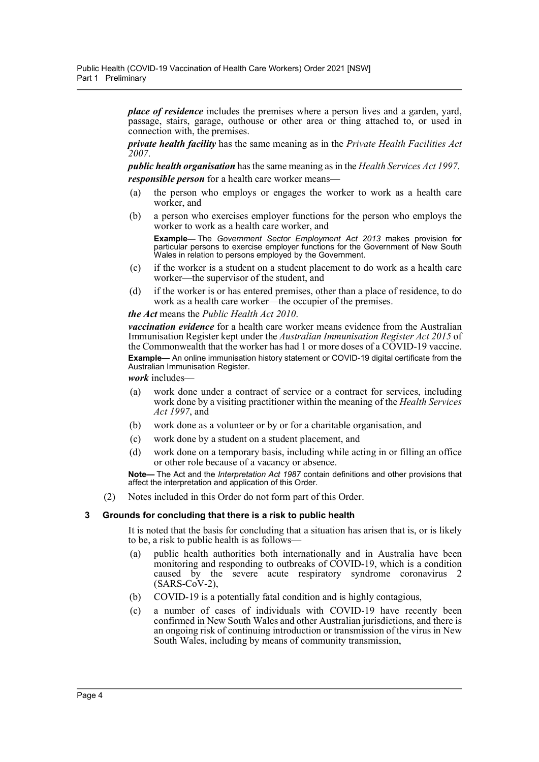*place of residence* includes the premises where a person lives and a garden, yard, passage, stairs, garage, outhouse or other area or thing attached to, or used in connection with, the premises.

*private health facility* has the same meaning as in the *Private Health Facilities Act 2007*.

*public health organisation* has the same meaning as in the *Health Services Act 1997*. *responsible person* for a health care worker means—

- (a) the person who employs or engages the worker to work as a health care worker, and
- (b) a person who exercises employer functions for the person who employs the worker to work as a health care worker, and

**Example—** The *Government Sector Employment Act 2013* makes provision for particular persons to exercise employer functions for the Government of New South Wales in relation to persons employed by the Government.

- (c) if the worker is a student on a student placement to do work as a health care worker—the supervisor of the student, and
- (d) if the worker is or has entered premises, other than a place of residence, to do work as a health care worker—the occupier of the premises.

#### *the Act* means the *Public Health Act 2010*.

*vaccination evidence* for a health care worker means evidence from the Australian Immunisation Register kept under the *Australian Immunisation Register Act 2015* of the Commonwealth that the worker has had 1 or more doses of a COVID-19 vaccine.

**Example—** An online immunisation history statement or COVID-19 digital certificate from the Australian Immunisation Register.

*work* includes—

- (a) work done under a contract of service or a contract for services, including work done by a visiting practitioner within the meaning of the *Health Services Act 1997*, and
- (b) work done as a volunteer or by or for a charitable organisation, and
- (c) work done by a student on a student placement, and
- (d) work done on a temporary basis, including while acting in or filling an office or other role because of a vacancy or absence.

**Note—** The Act and the *Interpretation Act 1987* contain definitions and other provisions that affect the interpretation and application of this Order.

(2) Notes included in this Order do not form part of this Order.

#### <span id="page-3-0"></span>**3 Grounds for concluding that there is a risk to public health**

It is noted that the basis for concluding that a situation has arisen that is, or is likely to be, a risk to public health is as follows—

- (a) public health authorities both internationally and in Australia have been monitoring and responding to outbreaks of COVID-19, which is a condition caused by the severe acute respiratory syndrome coronavirus  $2$ (SARS-CoV-2),
- (b) COVID-19 is a potentially fatal condition and is highly contagious,
- (c) a number of cases of individuals with COVID-19 have recently been confirmed in New South Wales and other Australian jurisdictions, and there is an ongoing risk of continuing introduction or transmission of the virus in New South Wales, including by means of community transmission,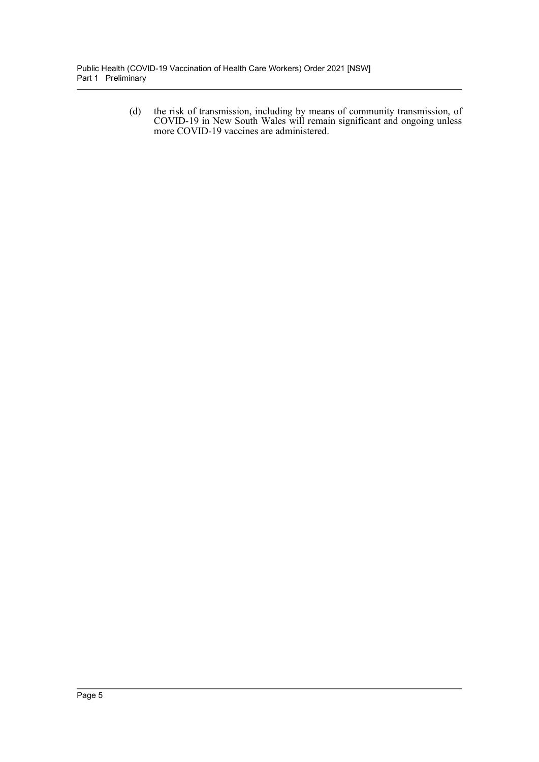(d) the risk of transmission, including by means of community transmission, of COVID-19 in New South Wales will remain significant and ongoing unless more COVID-19 vaccines are administered.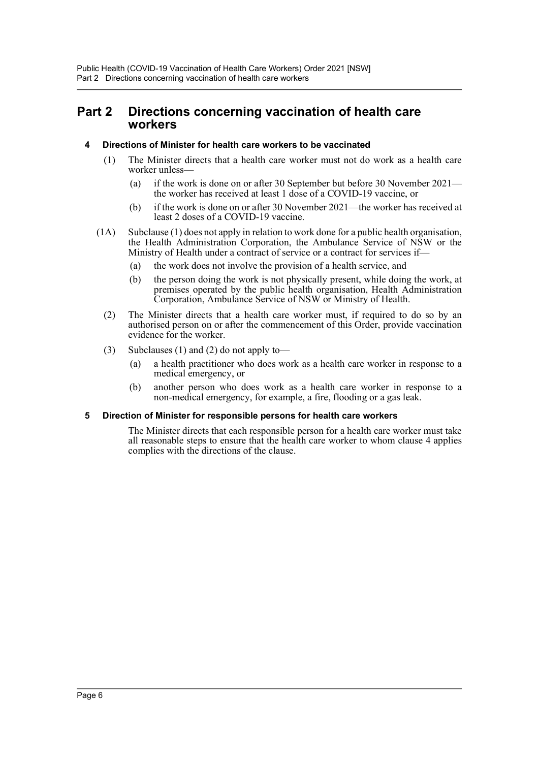## <span id="page-5-0"></span>**Part 2 Directions concerning vaccination of health care workers**

### <span id="page-5-1"></span>**4 Directions of Minister for health care workers to be vaccinated**

- (1) The Minister directs that a health care worker must not do work as a health care worker unless—
	- (a) if the work is done on or after 30 September but before 30 November 2021 the worker has received at least 1 dose of a COVID-19 vaccine, or
	- (b) if the work is done on or after 30 November 2021—the worker has received at least 2 doses of a COVID-19 vaccine.
- (1A) Subclause (1) does not apply in relation to work done for a public health organisation, the Health Administration Corporation, the Ambulance Service of NSW or the Ministry of Health under a contract of service or a contract for services if—
	- (a) the work does not involve the provision of a health service, and
	- (b) the person doing the work is not physically present, while doing the work, at premises operated by the public health organisation, Health Administration Corporation, Ambulance Service of NSW or Ministry of Health.
	- (2) The Minister directs that a health care worker must, if required to do so by an authorised person on or after the commencement of this Order, provide vaccination evidence for the worker.
	- (3) Subclauses (1) and (2) do not apply to—
		- (a) a health practitioner who does work as a health care worker in response to a medical emergency, or
		- (b) another person who does work as a health care worker in response to a non-medical emergency, for example, a fire, flooding or a gas leak.

### <span id="page-5-2"></span>**5 Direction of Minister for responsible persons for health care workers**

The Minister directs that each responsible person for a health care worker must take all reasonable steps to ensure that the health care worker to whom clause 4 applies complies with the directions of the clause.